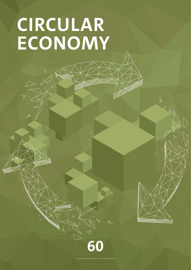# **CIRCULAR ECONOMY**

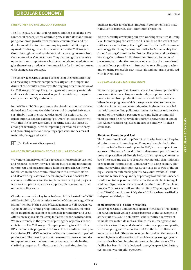# **CIRCULAR ECONOMY**

#### **STRENGTHENING THE CIRCULAR ECONOMY**

The finite nature of natural resources and the social and environmental consequences of mining raw materials make uncoupling economic growth from resource consumption and the development of a circular economy key sustainability topics. Against this background, businesses such as the Volkswagen Group face tighter legal regulation and increasing pressure from their stakeholders' expectations. They also recognize extensive opportunities to tap into new business models and markets or to give themselves an edge in the competition for limited resources with changed use concepts.

The Volkswagen Group created concepts for the reconditioning and recycling of vehicle components early on. One important driver of the circular economy is the ongoing decarbonization of the Volkswagen Group. The growing use of secondary materials and the establishment of closed loops of materials help to significantly reduce our CO₂ emissions.

In the NEW AUTO Group strategy, the circular economy has been defined as a focus topic within the central Group initiatives on sustainability. In the strategic design of this action area, we orient ourselves on the existing "goTOzero" mission statement. With this the Volkswagen Group is setting itself the target of, among other things, further improving its resource efficiency and promoting reuse and recycling approaches in the areas of materials, energy and water.

盯  $>$  Environmental Management

#### **MANAGEMENT APPROACH TO THE CIRCULAR ECONOMY**

We want to intensify our efforts for a transition to a loop-oriented and resource-conserving way of doing business and to combine our projects and measures into a holistic approach. On the way to this, we are in close communication with our stakeholders and also with legislators and actors in politics and society. We also rely on alliances and the implementation of joint projects with various partners, such as suppliers, plant manufacturers or the recycling sector.

Circular economy is a key issue in Group Initiative 6 of the "NEW AUTO – Mobility for Generations to Come" Group strategy. Oliver Blume, member of the Board of Management of Volkswagen AG, "Sport & Luxury" brand group, and Dr. Manfred Döss, member of the Board of Management responsible for Integrity and Legal Affairs, are responsible for Group Initiative 6 as the Board tandem. We are currently in the process of putting the objectives in concrete terms. The Volkswagen Group is planning to add further KPIs that indicate progress in the area of the circular economy to the existing KPIs (DCI, reduction of the environmental impact of production). The most important measures that we want to take to implement the circular-economy strategy include further clarifying targets and indicators and also realizing circular

business models for the most important components and materials, such as batteries, steel, aluminum or plastics.

We are currently developing our own working structure at Group level for managing the activities. This builds on the work of committees such as the Group Steering Committee for the Environment and Energy, the Group Steering Committee for Sustainability, the Group Steering Committee for Product Recycling and the Group Working Committee for Environment Product. In terms of measures, in production we focus on creating the most closed material loops possible with innovative recycling approaches and on using renewable raw materials and materials produced with low emissions.

#### **OUR GOAL: CLOSED MATERIAL LOOPS**

We are stepping up efforts to use material loops in our production processes. When selecting raw materials, we opt for recycled ones obtained from production waste or end-of-life products. When developing new vehicles, we pay attention to the recyclability of the required materials, using high-quality recycled material and avoiding pollutants. Under the European Directive on end-of-life vehicles, passenger cars and light commercial vehicles must be 85% recyclable and 95% recoverable at end of life. All our vehicles registered in Europe comply with these standards.

#### **Aluminum Closed Loop at Audi**

The Aluminum Closed Loop Project, with which a closed loop for aluminum was achieved beyond Company boundaries for the first time in the Neckarsulm plant in 2017, is an example of our approach. The waste from aluminum sheet-metal parts from the press shop is delivered directly back to the suppliers, who can recycle the scrap and use it to produce new material that Audi then uses again in the press shop. Compared with using primary aluminum, recycling aluminum waste can save up to 95% of the energy used in manufacturing. In this way, Audi avoids  $CO<sub>2</sub>$  emissions and reduces the quantity of primary raw materials needed. In addition to the plant in Neckarsulm, the Audi plants in Ingolstadt and Győr have now also joined the Aluminum Closed Loop process. The process itself and the resultant  $CO<sub>2</sub>$  savings of more than 720,000 metric tons of  $CO<sub>2</sub>$  since 2017 have been verified by independent third parties.

#### **In-House Expertise in Battery Recycling**

Volkswagen Group Components opened the Group's first facility for recycling high-voltage vehicle batteries at the Salzgitter site at the start of 2021. The objective is industrialized recovery of valuable raw materials such as lithium, nickel, manganese and cobalt in a closed loop and also of aluminum, copper and plastic, with a recycling rate of more than 90% in the future. Batteries are only recycled if they can no longer be used in other ways – for example, in reconditioned form in mobile energy storage systems such as flexible fast charging stations or charging robots. The facility has been initially designed to recycle up to 3,600 battery systems per year in pilot operation.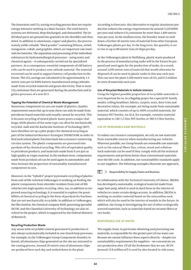The innovative and CO2-saving recycling process does not require energy-intensive melting in a blast furnace. The used battery systems are delivered, deep discharged, and dismantled. The individual parts are ground into granules in the shredder and then dried. In addition to aluminum, copper and plastics, the process mainly yields valuable "black powder" containing lithium, nickel, manganese, cobalt, and graphite, which are important raw materials for batteries. The separation and processing of the individual substances by hydrometallurgical processes – using water and chemical agents – is subsequently carried out by specialized partners. As a consequence, essential components of old battery cells can be used to produce new cathode material. The material recovered can be used to support battery cell production in the future. The CO₂ savings are calculated to be approximately 1.3 metric tons per 62-KWh battery manufactured using cathodes made from recycled material and green electricity. That is more  $CO<sub>2</sub>$  emissions than are generated during the production and logistics processes of a new ID.3.

#### **Tapping the Potential of Chemical Waste Management**

Numerous components in cars are made of plastics. Quality requirements mean that up to now, these can only be made from petroleum-based materials and usually cannot be recycled. This is because recycling of mixed plastic waste poses a major challenge, while plastics of the same type can often be mechanically recycled. Audi and the Karlsruhe Institute of Technology (KIT) have therefore set up a pilot project for chemical recycling as part of the Industrial Resource Strategies THINKTANK in order to feed such mixed plastic fractions back into a resource-conserving circular system. The plastic components are processed into pyrolysis oil by chemical recycling. This oil is of equivalent quality to petroleum products, and materials made from it are just as high quality as virgin material. In the medium term, components made from pyrolysis oil can be used again in automobiles and thus increase the proportion of sustainably manufactured components in cars.

Moreover, in the "SyKuRA" project (systematic recycling of plastics from end-of-life vehicles) Volkswagen is working on feeding the plastic components from shredder residues from end-of-life vehicles into high-quality recycling. Here, too, in addition to improved sourcing technology, it is essential to explore the possibilities of chemical recycling in the form of pyrolysis for fractions that are not mechanically recyclable. In addition to Volkswagen, the Öko-Institut, the chemical company BASF, processing specialist SICON, and the Clausthal University of Technology are also involved in the project, which is supported by the Federal Ministry of Research.

#### **Recycling Production Waste**

Any waste with recyclable content generated in production is also always systematically included in our closed-loop processes. For example, in the Volkswagen Group Components foundry in Kassel, all aluminum chips generated on the site are returned to the casting process. Around 20 metric tons of aluminum chips are produced here each day and melted down in the plant.

According to forecasts, this alternative to regular aluminum production reduces the energy requirements by around 3,250MWh per year and reduces CO₂ emissions by more than 1,400 metric tons per year. In the medium term, the foundry wants to melt down a further 40 metric tons of material from other European Volkswagen plants per day. In the long term, the quantity is set to rise to up to 80 metric tons of chips per day.

At the Volkswagen plant in Wolfsburg, plastic waste produced in the process of manufacturing tanks will in the future be prepared and used again for the production of tanks. As a result, around 1,600 metric tons of material that would otherwise be disposed of can be used in plastic tanks in this way each year. This can save the plant 2,500 metric tons of  $CO<sub>2</sub>$  and  $\epsilon$  2 million in costs of materials each year.

#### **Use of Recycled Materials in Vehicle Interiors**

Using the highest possible proportion of recyclable materials is very important for us. In a flagship project for a special ID. family model, ceiling headliner, fabrics, carpets, seats, door trim and decorative inlays, for example, are being made from sustainable material, which consists of up to 100% recycled materials, for instance PET bottles. An ID.4, for example, contains material equivalent to 140 1.5-liter PET bottles or 380 0.5-liter bottles.

#### **USE OF RENEWABLE RAW MATERIALS**

To reduce our resource consumption, we rely on raw materials from renewable sources when manufacturing our vehicles. Wherever possible, our Group brands use renewable raw materials such as the natural fibers flax, cotton, wood and cellulose. Such materials can be used if they comply with all the technical requirements and perform better than conventional materials over the life cycle. In addition, our sustainability standards apply to our suppliers. The following examples illustrate our approach.

## $\geq$  Responsibility for Supply Chains and Business

In collaboration with the Technical University of Liberec, ŠKODA has developed a sustainable, ecological material made from sugar beet pulp, which is used in dyed form in the interior of vehicles to create certain design accents. In addition, ŠKODA is working on another material based on the miscanthus reed, which will also be used in the interior of models in the future. In addition, the Group is investigating the use of other ecologically sourced materials, such as materials based on coconut fibers or rice husks.

### **RESPONSIBLE USE OF WATER**

The supply chain, in particular obtaining and processing raw materials, is responsible for the greater part of our water use. Because we cannot influence these aspects directly – despite our sustainability requirements for suppliers – we concentrate on our production sites. Of all the freshwater that we use, 49.3% (around  $15.8$  million  $m<sup>3</sup>$ ) is used by sites located in risk zones,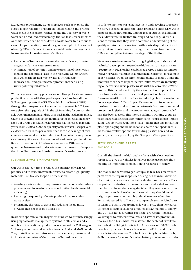i.e. regions experiencing water shortages, such as Mexico. The closed-loop circulation or recirculation of cooling and process water mean the need for freshwater and the quantity of waste water can be reduced considerably. The San José Chiapa (Mexico) Audi site, which can be considered a waste-water-free site due to closed-loop circulation, provides a good example of this. As part of our "goTOzero" concept, our sustainable water management focuses on the following areas of activity:

- Reduction of freshwater consumption and efficiency in water use, particularly in water stress areas
- Minimization of pollution and no worsening of the environmental and chemical status in the receiving waters (waters into which the treated waste water is introduced)
- Increased soil and groundwater protection when using water-polluting substances

We manage water-saving processes at our Group's locations during production in line with Group-wide specifications. In addition, Volkswagen supports the CDP Water Disclosure Project (WDP) through the transparency of its water management. In 2021, we were given the top grade of A in the WDP ranking for our sustainable water management and are thus back in the leadership index. Given our growing production figures and the integration of new sites, our Group's absolute freshwater use has increased in recent years. From 2010 to 2021, the quantity of freshwater used per vehicle decreased by 11.6% per vehicle, thanks to a wide range of recycling measures and to the introduction of manufacturing processes requiring little water. The amount of waste water produced is in line with the amount of freshwater that we use. Differences in quantities between fresh and waste water are the result of evaporation in cooling towers and during the manufacturing process.

#### **SUSTAINABLE WASTE MANAGEMENT**

Our waste strategy aims to reduce the quantity of waste we produce and to reuse unavoidable waste to create high-quality materials – i.e. to close loops. The focus is on:

- Avoiding waste creation by optimizing production and auxiliary processes and increasing material utilization levels (material efficiency)
- Reducing the quantity of waste produced by processing waste at sites
- Prioritizing the reuse of waste and reducing the quantity of waste that needs to be disposed of

In order to optimize our management of waste, we are increasingly using digital waste management systems in all German and a number of international production locations of the Volkswagen, Volkswagen Commercial Vehicles, Porsche, Audi and MAN brands. They make it easier to control waste management processes and facilitate state control of the disposal of hazardous waste.

In order to monitor waste management and recycling processes, we carry out regular cross-site, cross-brand and cross-OEM waste disposal audits in Germany and the rest of Europe. In addition, the auditors receive further training and hold regular discussions to ensure that they have a common understanding of the quality requirements associated with waste disposal services, to carry out audits of consistently high quality and to allow other OEMs and suppliers to take advantage of the findings.

We reuse waste from manufacturing, logistics, workshops and technical development to produce high-quality materials. Our Procurement Division has established a Group-wide system for recovering waste materials that can generate income – for example, paper, plastics, wood, electronic components or metal. Under the umbrella of the Zero Impact Factory initiative, we are intensifying our efforts to avoid plastic waste with the Zero Plastic Waste project. This includes not only the aforementioned project for recycling plastic waste in diesel tank production but also the future recognition of initiatives for reducing plastic waste in the Volkswagen Group's Zero Impact Factory Award. Together with the Group brands and various departments from environmental protection, logistics and the production trades, a "roundtable" has also been created. This interdisciplinary working group develops targeted strategies for minimizing the use of plastic packaging. Group-wide regulations that stipulate that any remaining plastic packaging should be recyclable were developed for this. We test innovative options for avoiding plastics here and are guided, wherever possible, by the Group sites' best practices.

# **RECYCLING OF VEHICLE PARTS AND TOOLS**

Overall, the aim of the high quality focus with a low need for repair is to give our vehicles long lives in the use phase, thus making an important contribution to resource efficiency.

The brands in the Volkswagen Group also take back many used parts from the repair shops, such as engines, transmissions or electronics, because these contain valuable raw materials. These car parts are industrially remanufactured and tested and can then be used in another car again. When they need a repair, our customers can decide whether the repair shop should install an original part – or whether it is preferable to use a Genuine Remanufactured Part. These are comparable to an original part in terms of quality but are much lower in price than new parts. Using these parts saves large amounts of raw materials, energy and CO₂. It is not just vehicle parts that are reconditioned at Volkswagen to conserve resources and save costs; production tools are too. This is what, for instance, the center of excellence for tools at the Salzgitter site is for. An average of 160,000 tools have been processed here each year since 2009 to make them suitable to return to use. This includes rotary-broaching tools, drills or cutters for manufacturing battery anodes and cathodes.